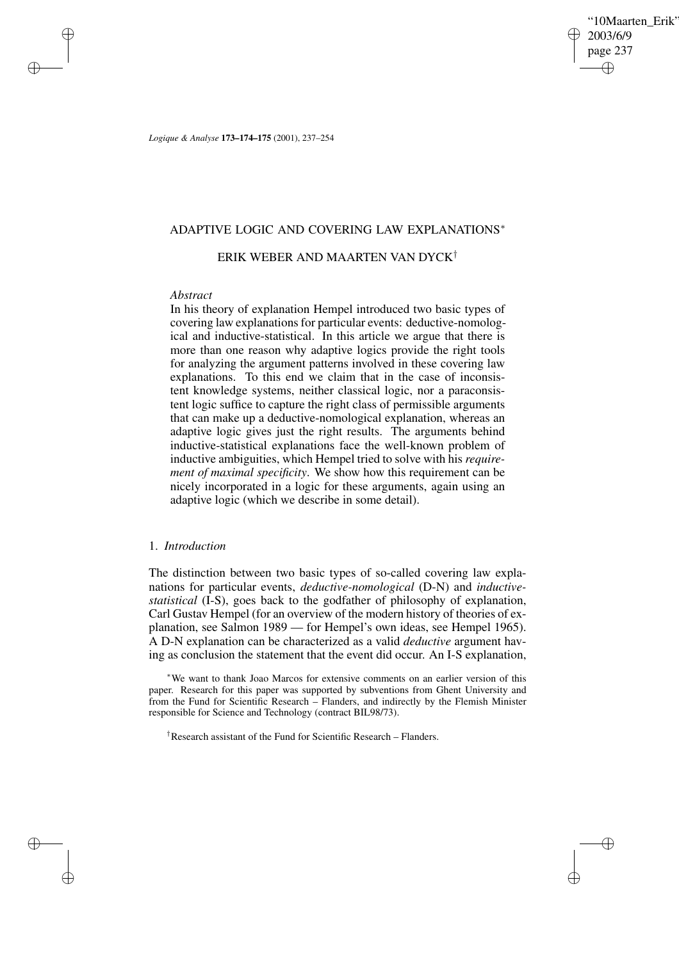'10Maarten Erik' 2003/6/9 page 237 ✐ ✐

✐

✐

*Logique & Analyse* **173–174–175** (2001), 237–254

## ADAPTIVE LOGIC AND COVERING LAW EXPLANATIONS<sup>∗</sup>

# ERIK WEBER AND MAARTEN VAN DYCK†

## *Abstract*

✐

✐

✐

✐

In his theory of explanation Hempel introduced two basic types of covering law explanations for particular events: deductive-nomological and inductive-statistical. In this article we argue that there is more than one reason why adaptive logics provide the right tools for analyzing the argument patterns involved in these covering law explanations. To this end we claim that in the case of inconsistent knowledge systems, neither classical logic, nor a paraconsistent logic suffice to capture the right class of permissible arguments that can make up a deductive-nomological explanation, whereas an adaptive logic gives just the right results. The arguments behind inductive-statistical explanations face the well-known problem of inductive ambiguities, which Hempel tried to solve with his *requirement of maximal specificity*. We show how this requirement can be nicely incorporated in a logic for these arguments, again using an adaptive logic (which we describe in some detail).

# 1. *Introduction*

The distinction between two basic types of so-called covering law explanations for particular events, *deductive-nomological* (D-N) and *inductivestatistical* (I-S), goes back to the godfather of philosophy of explanation, Carl Gustav Hempel (for an overview of the modern history of theories of explanation, see Salmon 1989 — for Hempel's own ideas, see Hempel 1965). A D-N explanation can be characterized as a valid *deductive* argument having as conclusion the statement that the event did occur. An I-S explanation,

<sup>∗</sup>We want to thank Joao Marcos for extensive comments on an earlier version of this paper. Research for this paper was supported by subventions from Ghent University and from the Fund for Scientific Research – Flanders, and indirectly by the Flemish Minister responsible for Science and Technology (contract BIL98/73).

†Research assistant of the Fund for Scientific Research – Flanders.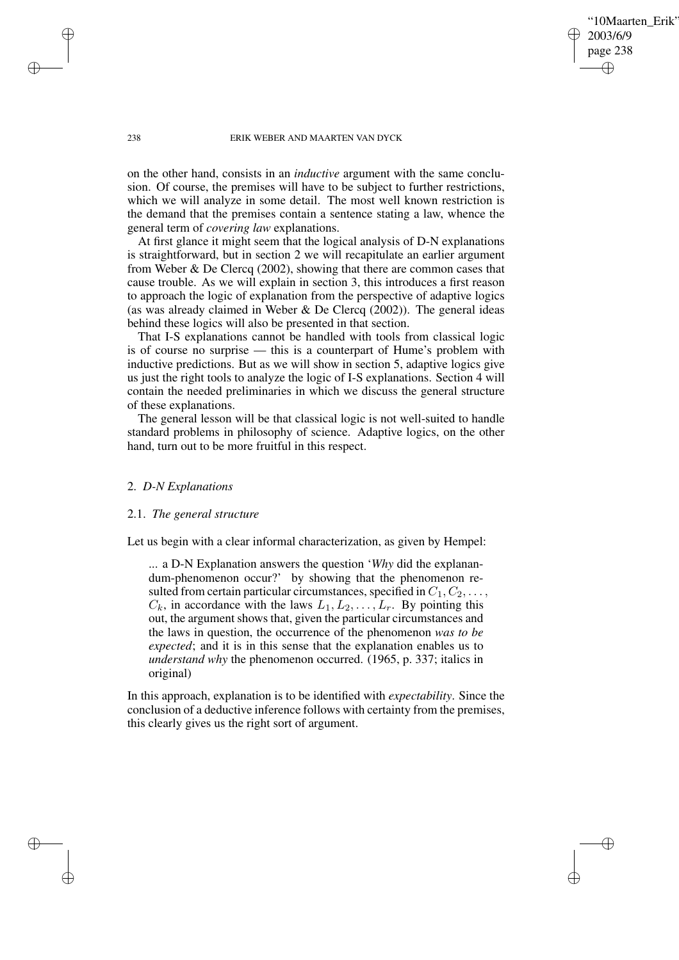'10Maarten Erik' 2003/6/9 page 238 ✐ ✐

✐

✐

#### 238 ERIK WEBER AND MAARTEN VAN DYCK

on the other hand, consists in an *inductive* argument with the same conclusion. Of course, the premises will have to be subject to further restrictions, which we will analyze in some detail. The most well known restriction is the demand that the premises contain a sentence stating a law, whence the general term of *covering law* explanations.

At first glance it might seem that the logical analysis of D-N explanations is straightforward, but in section 2 we will recapitulate an earlier argument from Weber & De Clercq (2002), showing that there are common cases that cause trouble. As we will explain in section 3, this introduces a first reason to approach the logic of explanation from the perspective of adaptive logics (as was already claimed in Weber & De Clercq  $(2002)$ ). The general ideas behind these logics will also be presented in that section.

That I-S explanations cannot be handled with tools from classical logic is of course no surprise — this is a counterpart of Hume's problem with inductive predictions. But as we will show in section 5, adaptive logics give us just the right tools to analyze the logic of I-S explanations. Section 4 will contain the needed preliminaries in which we discuss the general structure of these explanations.

The general lesson will be that classical logic is not well-suited to handle standard problems in philosophy of science. Adaptive logics, on the other hand, turn out to be more fruitful in this respect.

# 2. *D-N Explanations*

#### 2.1. *The general structure*

Let us begin with a clear informal characterization, as given by Hempel:

... a D-N Explanation answers the question '*Why* did the explanandum-phenomenon occur?' by showing that the phenomenon resulted from certain particular circumstances, specified in  $C_1, C_2, \ldots$ ,  $C_k$ , in accordance with the laws  $L_1, L_2, \ldots, L_r$ . By pointing this out, the argument shows that, given the particular circumstances and the laws in question, the occurrence of the phenomenon *was to be expected*; and it is in this sense that the explanation enables us to *understand why* the phenomenon occurred. (1965, p. 337; italics in original)

In this approach, explanation is to be identified with *expectability*. Since the conclusion of a deductive inference follows with certainty from the premises, this clearly gives us the right sort of argument.

✐

✐

✐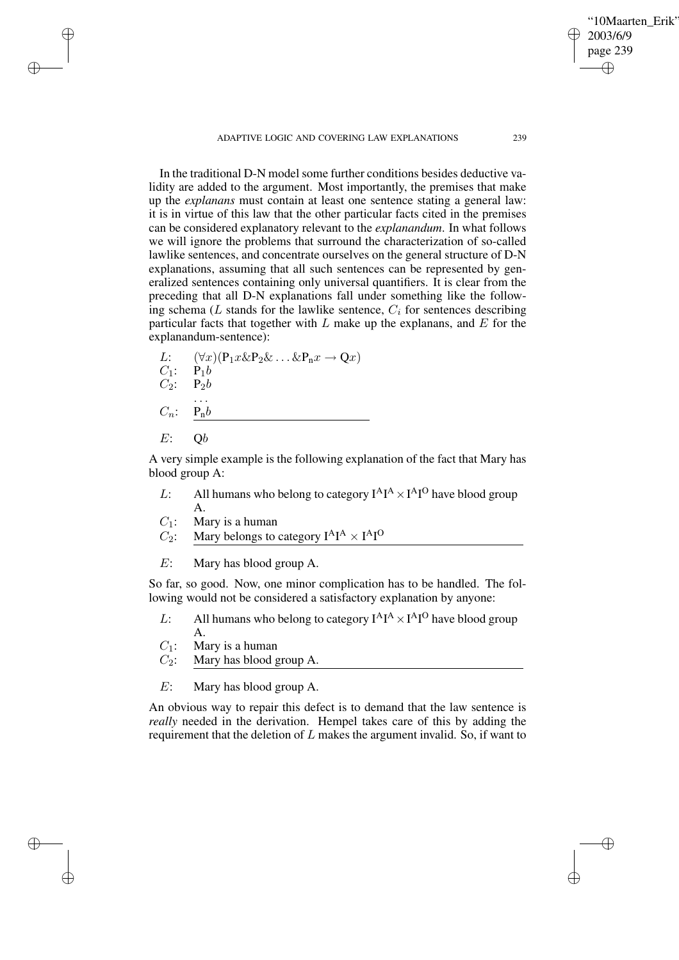ADAPTIVE LOGIC AND COVERING LAW EXPLANATIONS 239

In the traditional D-N model some further conditions besides deductive validity are added to the argument. Most importantly, the premises that make up the *explanans* must contain at least one sentence stating a general law: it is in virtue of this law that the other particular facts cited in the premises can be considered explanatory relevant to the *explanandum*. In what follows we will ignore the problems that surround the characterization of so-called lawlike sentences, and concentrate ourselves on the general structure of D-N explanations, assuming that all such sentences can be represented by generalized sentences containing only universal quantifiers. It is clear from the preceding that all D-N explanations fall under something like the following schema ( $L$  stands for the lawlike sentence,  $C_i$  for sentences describing particular facts that together with  $L$  make up the explanans, and  $E$  for the explanandum-sentence):

L: 
$$
(\forall x)(P_1 x \& P_2 \& \dots \& P_n x \rightarrow Qx)
$$
  
\nC<sub>1</sub>:  $P_1 b$   
\nC<sub>2</sub>:  $P_2 b$   
\n...  
\nC<sub>n</sub>:  $\underline{P_n b}$   
\nE: Qb

A very simple example is the following explanation of the fact that Mary has blood group A:

- L: All humans who belong to category  $I^A I^A \times I^A I^O$  have blood group A.
- $C_1$ : Mary is a human

✐

✐

✐

✐

- $C_2$ : Mary belongs to category  $I^A I^A \times I^A I^O$
- E: Mary has blood group A.

So far, so good. Now, one minor complication has to be handled. The following would not be considered a satisfactory explanation by anyone:

- L: All humans who belong to category  $I^A I^A \times I^A I^O$  have blood group A.
- $C_1$ : Mary is a human
- $C_2$ : Mary has blood group A.
- E: Mary has blood group A.

An obvious way to repair this defect is to demand that the law sentence is *really* needed in the derivation. Hempel takes care of this by adding the requirement that the deletion of  $L$  makes the argument invalid. So, if want to

"10Maarten\_Erik"

2003/6/9 page 239

✐

✐

✐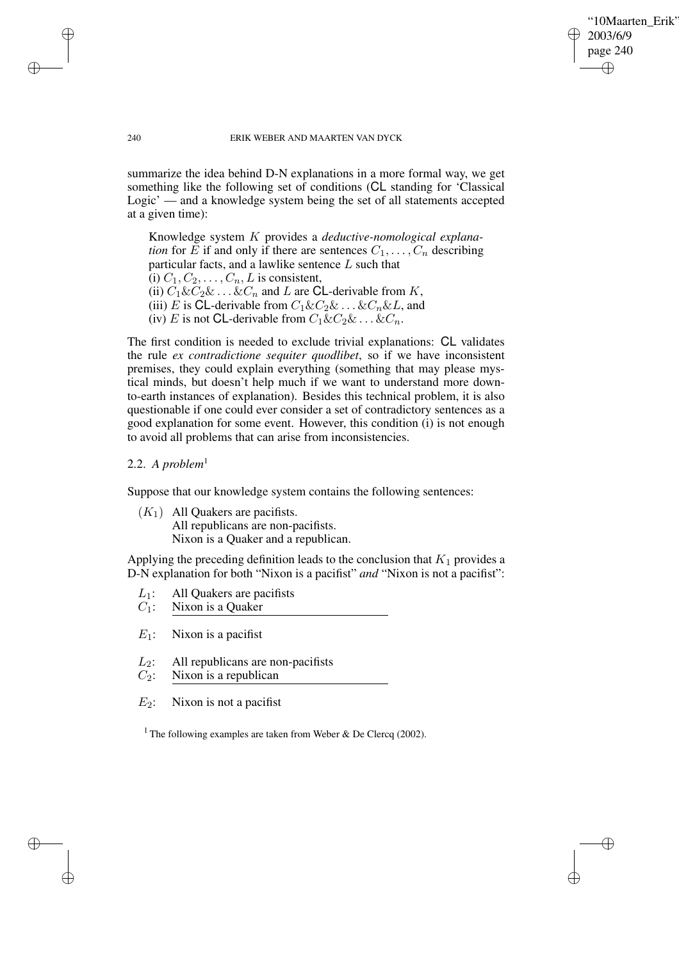"10Maarten\_Erik" 2003/6/9 page 240 ✐ ✐

✐

✐

#### 240 ERIK WEBER AND MAARTEN VAN DYCK

summarize the idea behind D-N explanations in a more formal way, we get something like the following set of conditions (CL standing for 'Classical Logic' — and a knowledge system being the set of all statements accepted at a given time):

Knowledge system K provides a *deductive-nomological explanation* for E if and only if there are sentences  $C_1, \ldots, C_n$  describing particular facts, and a lawlike sentence  $L$  such that (i)  $C_1, C_2, \ldots, C_n, L$  is consistent, (ii)  $C_1 \& C_2 \& \dots \& C_n$  and L are CL-derivable from K, (iii) E is CL-derivable from  $C_1 \& C_2 \& \dots \& C_n \& L$ , and (iv) E is not CL-derivable from  $C_1 \& C_2 \& \dots \& C_n$ .

The first condition is needed to exclude trivial explanations: CL validates the rule *ex contradictione sequiter quodlibet*, so if we have inconsistent premises, they could explain everything (something that may please mystical minds, but doesn't help much if we want to understand more downto-earth instances of explanation). Besides this technical problem, it is also questionable if one could ever consider a set of contradictory sentences as a good explanation for some event. However, this condition (i) is not enough to avoid all problems that can arise from inconsistencies.

### 2.2. A *problem*<sup>1</sup>

✐

✐

✐

✐

Suppose that our knowledge system contains the following sentences:

 $(K_1)$  All Ouakers are pacifists. All republicans are non-pacifists. Nixon is a Quaker and a republican.

Applying the preceding definition leads to the conclusion that  $K_1$  provides a D-N explanation for both "Nixon is a pacifist" *and* "Nixon is not a pacifist":

- $L_1$ : All Quakers are pacifists
- $C_1$ : Nixon is a Quaker
- $E_1$ : Nixon is a pacifist
- $L_2$ : All republicans are non-pacifists  $C_2$ : Nixon is a republican

 $E_2$ : Nixon is not a pacifist

<sup>1</sup> The following examples are taken from Weber & De Clercq (2002).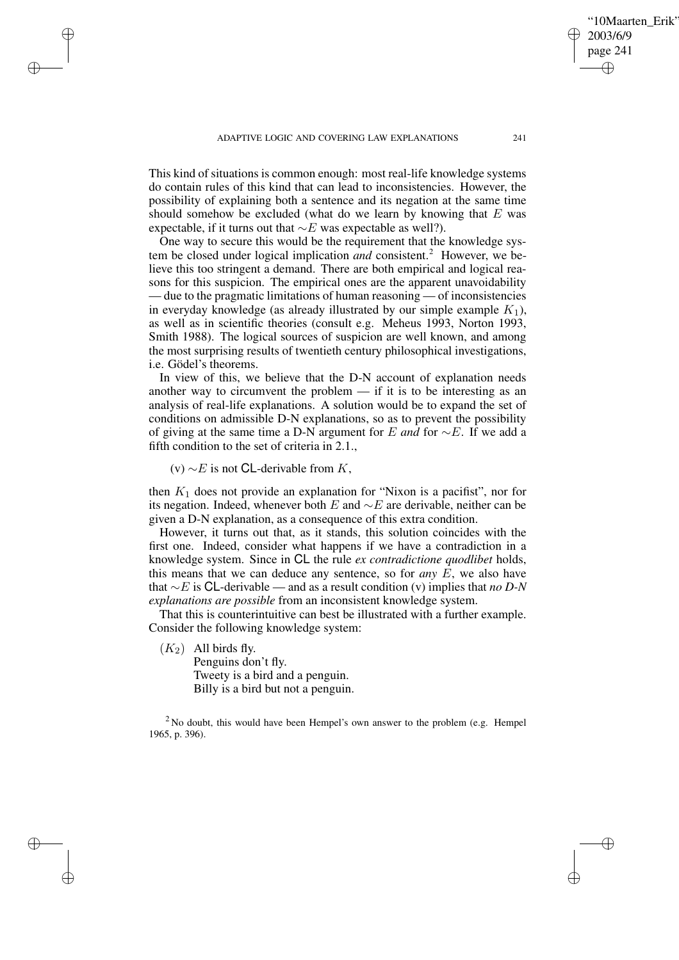This kind of situations is common enough: most real-life knowledge systems do contain rules of this kind that can lead to inconsistencies. However, the possibility of explaining both a sentence and its negation at the same time should somehow be excluded (what do we learn by knowing that  $E$  was expectable, if it turns out that  $∼E$  was expectable as well?).

One way to secure this would be the requirement that the knowledge system be closed under logical implication *and* consistent.<sup>2</sup> However, we believe this too stringent a demand. There are both empirical and logical reasons for this suspicion. The empirical ones are the apparent unavoidability — due to the pragmatic limitations of human reasoning — of inconsistencies in everyday knowledge (as already illustrated by our simple example  $K_1$ ), as well as in scientific theories (consult e.g. Meheus 1993, Norton 1993, Smith 1988). The logical sources of suspicion are well known, and among the most surprising results of twentieth century philosophical investigations, i.e. Gödel's theorems.

In view of this, we believe that the D-N account of explanation needs another way to circumvent the problem  $-$  if it is to be interesting as an analysis of real-life explanations. A solution would be to expand the set of conditions on admissible D-N explanations, so as to prevent the possibility of giving at the same time a D-N argument for E *and* for ∼E. If we add a fifth condition to the set of criteria in 2.1.,

(v)  $∼E$  is not **CL**-derivable from K,

✐

✐

✐

✐

then  $K_1$  does not provide an explanation for "Nixon is a pacifist", nor for its negation. Indeed, whenever both E and  $\sim$ E are derivable, neither can be given a D-N explanation, as a consequence of this extra condition.

However, it turns out that, as it stands, this solution coincides with the first one. Indeed, consider what happens if we have a contradiction in a knowledge system. Since in CL the rule *ex contradictione quodlibet* holds, this means that we can deduce any sentence, so for *any* E, we also have that ∼E is CL-derivable — and as a result condition (v) implies that *no D-N explanations are possible* from an inconsistent knowledge system.

That this is counterintuitive can best be illustrated with a further example. Consider the following knowledge system:

 $(K_2)$  All birds fly. Penguins don't fly. Tweety is a bird and a penguin. Billy is a bird but not a penguin.

<sup>2</sup> No doubt, this would have been Hempel's own answer to the problem (e.g. Hempel 1965, p. 396).

'10Maarten Erik'

2003/6/9 page 241

✐

✐

✐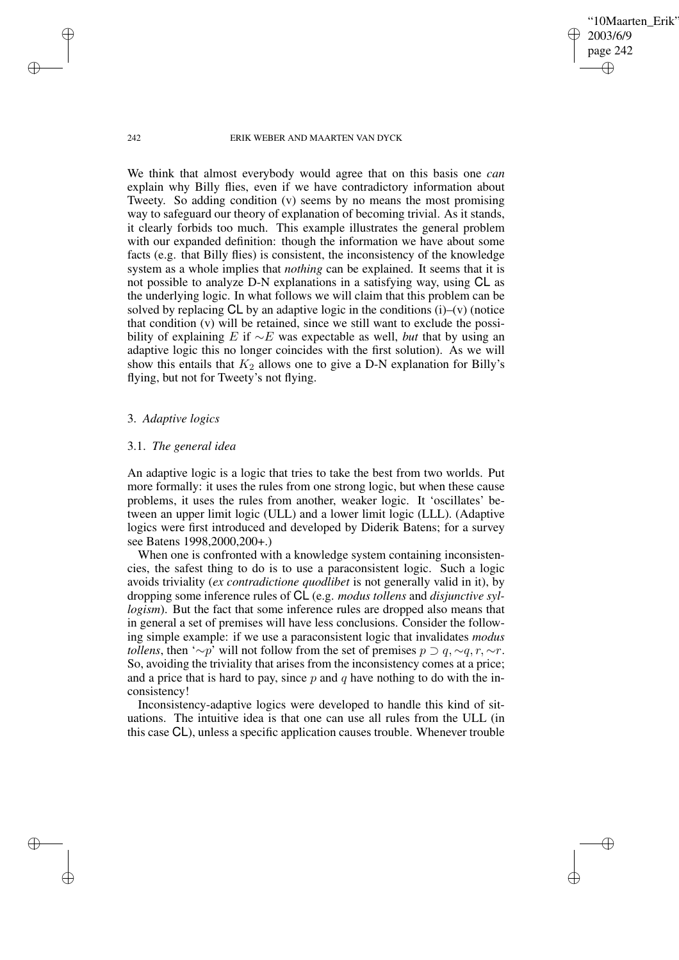#### 242 ERIK WEBER AND MAARTEN VAN DYCK

'10Maarten Erik'

2003/6/9 page 242

✐

✐

✐

✐

We think that almost everybody would agree that on this basis one *can* explain why Billy flies, even if we have contradictory information about Tweety. So adding condition (v) seems by no means the most promising way to safeguard our theory of explanation of becoming trivial. As it stands, it clearly forbids too much. This example illustrates the general problem with our expanded definition: though the information we have about some facts (e.g. that Billy flies) is consistent, the inconsistency of the knowledge system as a whole implies that *nothing* can be explained. It seems that it is not possible to analyze D-N explanations in a satisfying way, using CL as the underlying logic. In what follows we will claim that this problem can be solved by replacing  $CL$  by an adaptive logic in the conditions (i)–(v) (notice that condition (v) will be retained, since we still want to exclude the possibility of explaining E if ∼E was expectable as well, *but* that by using an adaptive logic this no longer coincides with the first solution). As we will show this entails that  $K_2$  allows one to give a D-N explanation for Billy's flying, but not for Tweety's not flying.

## 3. *Adaptive logics*

### 3.1. *The general idea*

An adaptive logic is a logic that tries to take the best from two worlds. Put more formally: it uses the rules from one strong logic, but when these cause problems, it uses the rules from another, weaker logic. It 'oscillates' between an upper limit logic (ULL) and a lower limit logic (LLL). (Adaptive logics were first introduced and developed by Diderik Batens; for a survey see Batens 1998,2000,200+.)

When one is confronted with a knowledge system containing inconsistencies, the safest thing to do is to use a paraconsistent logic. Such a logic avoids triviality (*ex contradictione quodlibet* is not generally valid in it), by dropping some inference rules of CL (e.g. *modus tollens* and *disjunctive syllogism*). But the fact that some inference rules are dropped also means that in general a set of premises will have less conclusions. Consider the following simple example: if we use a paraconsistent logic that invalidates *modus tollens*, then '∼p' will not follow from the set of premises  $p \supset q, \sim q, r, \sim r$ . So, avoiding the triviality that arises from the inconsistency comes at a price; and a price that is hard to pay, since  $p$  and  $q$  have nothing to do with the inconsistency!

Inconsistency-adaptive logics were developed to handle this kind of situations. The intuitive idea is that one can use all rules from the ULL (in this case CL), unless a specific application causes trouble. Whenever trouble

✐

✐

✐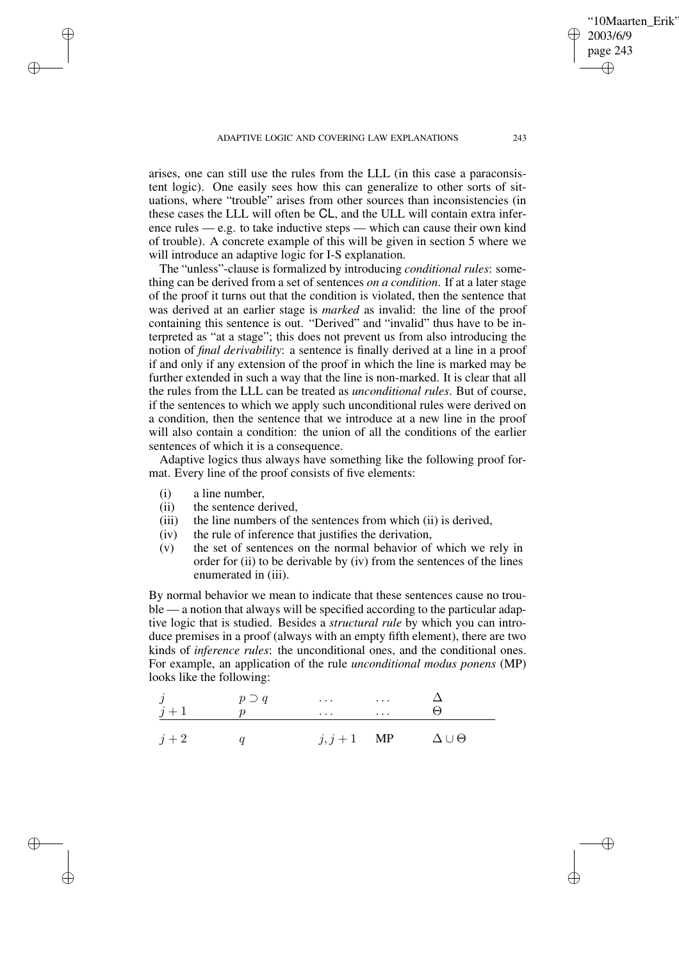arises, one can still use the rules from the LLL (in this case a paraconsistent logic). One easily sees how this can generalize to other sorts of situations, where "trouble" arises from other sources than inconsistencies (in these cases the LLL will often be CL, and the ULL will contain extra inference rules — e.g. to take inductive steps — which can cause their own kind of trouble). A concrete example of this will be given in section 5 where we will introduce an adaptive logic for I-S explanation.

The "unless"-clause is formalized by introducing *conditional rules*: something can be derived from a set of sentences *on a condition*. If at a later stage of the proof it turns out that the condition is violated, then the sentence that was derived at an earlier stage is *marked* as invalid: the line of the proof containing this sentence is out. "Derived" and "invalid" thus have to be interpreted as "at a stage"; this does not prevent us from also introducing the notion of *final derivability*: a sentence is finally derived at a line in a proof if and only if any extension of the proof in which the line is marked may be further extended in such a way that the line is non-marked. It is clear that all the rules from the LLL can be treated as *unconditional rules*. But of course, if the sentences to which we apply such unconditional rules were derived on a condition, then the sentence that we introduce at a new line in the proof will also contain a condition: the union of all the conditions of the earlier sentences of which it is a consequence.

Adaptive logics thus always have something like the following proof format. Every line of the proof consists of five elements:

(i) a line number,

✐

✐

✐

✐

- (ii) the sentence derived,
- (iii) the line numbers of the sentences from which (ii) is derived,
- (iv) the rule of inference that justifies the derivation,
- (v) the set of sentences on the normal behavior of which we rely in order for (ii) to be derivable by (iv) from the sentences of the lines enumerated in (iii).

By normal behavior we mean to indicate that these sentences cause no trouble — a notion that always will be specified according to the particular adaptive logic that is studied. Besides a *structural rule* by which you can introduce premises in a proof (always with an empty fifth element), there are two kinds of *inference rules*: the unconditional ones, and the conditional ones. For example, an application of the rule *unconditional modus ponens* (MP) looks like the following:

| $\dot{\jmath}$<br>$j+1$ | $p \supset q$ | $\sim$ $\sim$ $\sim$<br>$\cdots$ | $\sim$ $\sim$ $\sim$ $\sim$ $\sim$<br>$\sim$ $\sim$ $\sim$ $\sim$ $\sim$ | $(\lnot)$            |
|-------------------------|---------------|----------------------------------|--------------------------------------------------------------------------|----------------------|
| $j+2$                   |               | $j, j+1$ MP                      |                                                                          | $\Delta \cup \Theta$ |

'10Maarten Erik'

2003/6/9 page 243

✐

✐

✐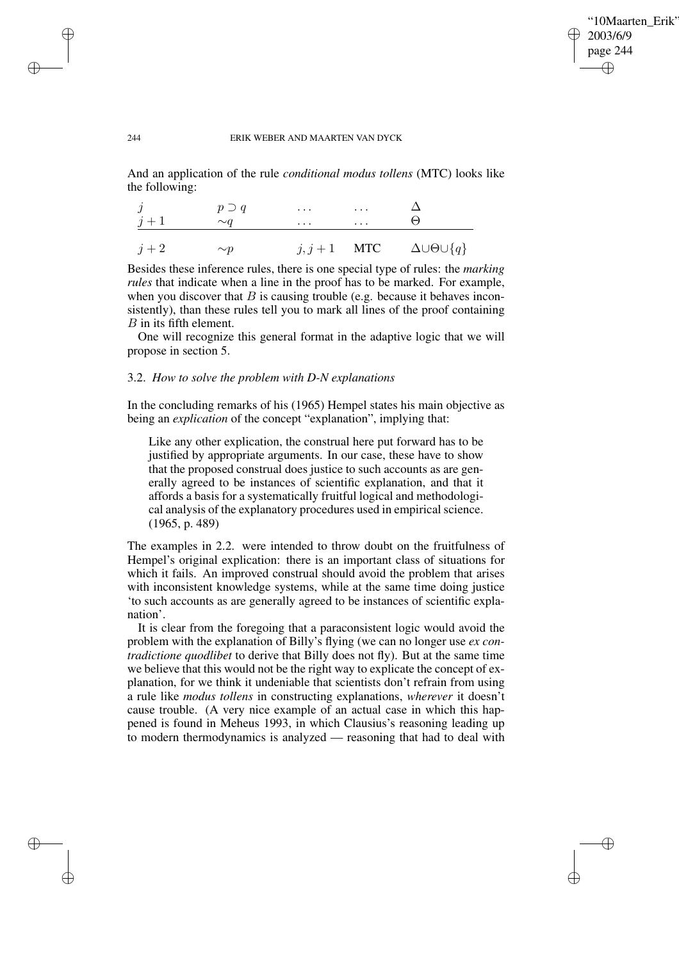✐

✐

#### 244 ERIK WEBER AND MAARTEN VAN DYCK

And an application of the rule *conditional modus tollens* (MTC) looks like the following:

|       | $p \supset q$ | $\cdots$ | $\sim$ $\sim$ $\sim$ $\sim$ |                                              |
|-------|---------------|----------|-----------------------------|----------------------------------------------|
| $j+1$ | $\sim q$      | $\cdots$ | $\sim$ $\sim$ $\sim$ $\sim$ | $\Box$                                       |
|       |               |          |                             |                                              |
| $j+2$ | $\sim p$      |          |                             | $j, j+1$ MTC $\Delta \cup \Theta \cup \{q\}$ |

Besides these inference rules, there is one special type of rules: the *marking rules* that indicate when a line in the proof has to be marked. For example, when you discover that  $B$  is causing trouble (e.g. because it behaves inconsistently), than these rules tell you to mark all lines of the proof containing B in its fifth element.

One will recognize this general format in the adaptive logic that we will propose in section 5.

## 3.2. *How to solve the problem with D-N explanations*

In the concluding remarks of his (1965) Hempel states his main objective as being an *explication* of the concept "explanation", implying that:

Like any other explication, the construal here put forward has to be justified by appropriate arguments. In our case, these have to show that the proposed construal does justice to such accounts as are generally agreed to be instances of scientific explanation, and that it affords a basis for a systematically fruitful logical and methodological analysis of the explanatory procedures used in empirical science. (1965, p. 489)

The examples in 2.2. were intended to throw doubt on the fruitfulness of Hempel's original explication: there is an important class of situations for which it fails. An improved construal should avoid the problem that arises with inconsistent knowledge systems, while at the same time doing justice 'to such accounts as are generally agreed to be instances of scientific explanation'.

It is clear from the foregoing that a paraconsistent logic would avoid the problem with the explanation of Billy's flying (we can no longer use *ex contradictione quodlibet* to derive that Billy does not fly). But at the same time we believe that this would not be the right way to explicate the concept of explanation, for we think it undeniable that scientists don't refrain from using a rule like *modus tollens* in constructing explanations, *wherever* it doesn't cause trouble. (A very nice example of an actual case in which this happened is found in Meheus 1993, in which Clausius's reasoning leading up to modern thermodynamics is analyzed — reasoning that had to deal with

✐

✐

✐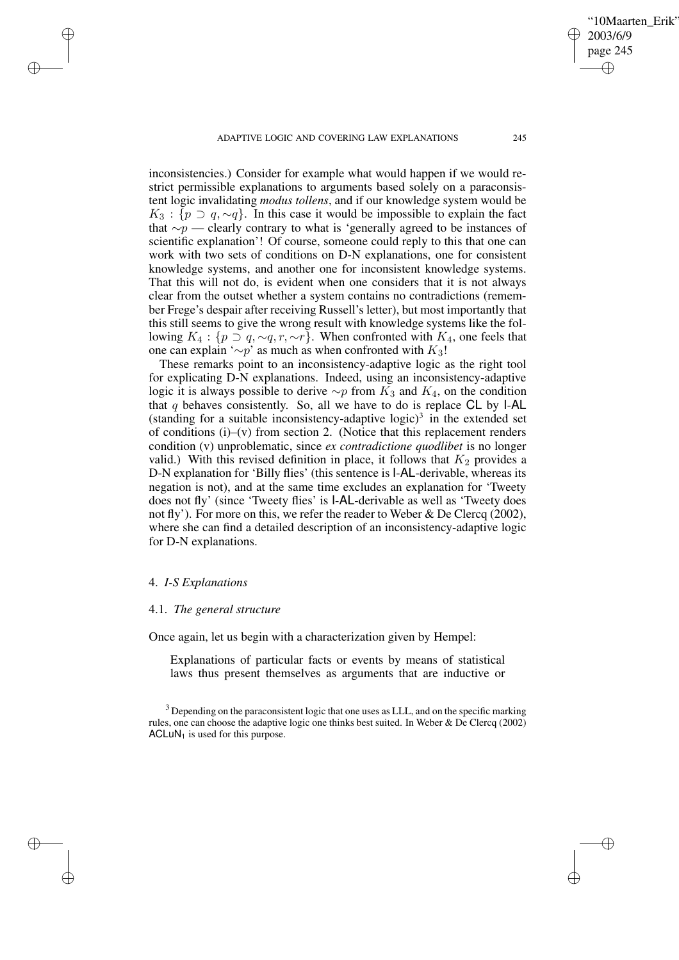ADAPTIVE LOGIC AND COVERING LAW EXPLANATIONS 245

inconsistencies.) Consider for example what would happen if we would restrict permissible explanations to arguments based solely on a paraconsistent logic invalidating *modus tollens*, and if our knowledge system would be  $K_3$ : { $p \supset q$ , ~q}. In this case it would be impossible to explain the fact that ∼p — clearly contrary to what is 'generally agreed to be instances of scientific explanation'! Of course, someone could reply to this that one can work with two sets of conditions on D-N explanations, one for consistent knowledge systems, and another one for inconsistent knowledge systems. That this will not do, is evident when one considers that it is not always clear from the outset whether a system contains no contradictions (remember Frege's despair after receiving Russell's letter), but most importantly that this still seems to give the wrong result with knowledge systems like the following  $K_4$ : { $p \supset q$ , ~ $q$ ,  $r$ , ~ $r$ }. When confronted with  $K_4$ , one feels that one can explain '∼p' as much as when confronted with  $K_3!$ 

These remarks point to an inconsistency-adaptive logic as the right tool for explicating D-N explanations. Indeed, using an inconsistency-adaptive logic it is always possible to derive  $\sim p$  from  $K_3$  and  $K_4$ , on the condition that  $q$  behaves consistently. So, all we have to do is replace CL by I-AL (standing for a suitable inconsistency-adaptive logic)<sup>3</sup> in the extended set of conditions (i)–(v) from section 2. (Notice that this replacement renders condition (v) unproblematic, since *ex contradictione quodlibet* is no longer valid.) With this revised definition in place, it follows that  $K_2$  provides a D-N explanation for 'Billy flies' (this sentence is I-AL-derivable, whereas its negation is not), and at the same time excludes an explanation for 'Tweety does not fly' (since 'Tweety flies' is I-AL-derivable as well as 'Tweety does not fly'). For more on this, we refer the reader to Weber & De Clercq (2002), where she can find a detailed description of an inconsistency-adaptive logic for D-N explanations.

### 4. *I-S Explanations*

✐

✐

✐

✐

#### 4.1. *The general structure*

Once again, let us begin with a characterization given by Hempel:

Explanations of particular facts or events by means of statistical laws thus present themselves as arguments that are inductive or

'10Maarten Erik'

2003/6/9 page 245

✐

✐

✐

<sup>&</sup>lt;sup>3</sup> Depending on the paraconsistent logic that one uses as LLL, and on the specific marking rules, one can choose the adaptive logic one thinks best suited. In Weber & De Clercq (2002)  $ACLuN<sub>1</sub>$  is used for this purpose.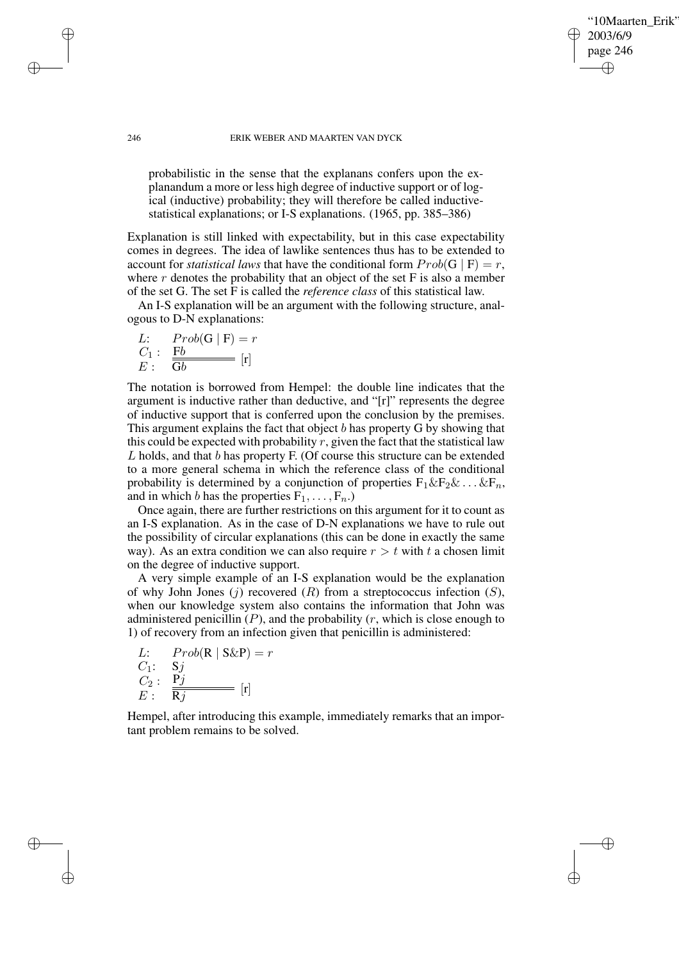## '10Maarten Erik' 2003/6/9 page 246 ✐ ✐

✐

✐

#### 246 ERIK WEBER AND MAARTEN VAN DYCK

probabilistic in the sense that the explanans confers upon the explanandum a more or less high degree of inductive support or of logical (inductive) probability; they will therefore be called inductivestatistical explanations; or I-S explanations. (1965, pp. 385–386)

Explanation is still linked with expectability, but in this case expectability comes in degrees. The idea of lawlike sentences thus has to be extended to account for *statistical laws* that have the conditional form  $Prob(G | F) = r$ , where  $r$  denotes the probability that an object of the set  $F$  is also a member of the set G. The set F is called the *reference class* of this statistical law.

An I-S explanation will be an argument with the following structure, analogous to D-N explanations:

L: 
$$
Prob(G | F) = r
$$
  
\nC<sub>1</sub>:  $\frac{Fb}{Gb}$  [r]

The notation is borrowed from Hempel: the double line indicates that the argument is inductive rather than deductive, and "[r]" represents the degree of inductive support that is conferred upon the conclusion by the premises. This argument explains the fact that object  $b$  has property  $G$  by showing that this could be expected with probability  $r$ , given the fact that the statistical law L holds, and that b has property F. (Of course this structure can be extended to a more general schema in which the reference class of the conditional probability is determined by a conjunction of properties  $F_1 \& F_2 \& \dots \& F_n$ , and in which b has the properties  $F_1, \ldots, F_n$ .

Once again, there are further restrictions on this argument for it to count as an I-S explanation. As in the case of D-N explanations we have to rule out the possibility of circular explanations (this can be done in exactly the same way). As an extra condition we can also require  $r > t$  with t a chosen limit on the degree of inductive support.

A very simple example of an I-S explanation would be the explanation of why John Jones  $(j)$  recovered  $(R)$  from a streptococcus infection  $(S)$ , when our knowledge system also contains the information that John was administered penicillin  $(P)$ , and the probability  $(r,$  which is close enough to 1) of recovery from an infection given that penicillin is administered:

L: 
$$
Prob(R | S\&P) = r
$$
  
\nC<sub>1</sub>: S<sub>j</sub>  
\nC<sub>2</sub>: P<sub>j</sub>  
\nE: R<sub>j</sub> [r]

Hempel, after introducing this example, immediately remarks that an important problem remains to be solved.

✐

✐

✐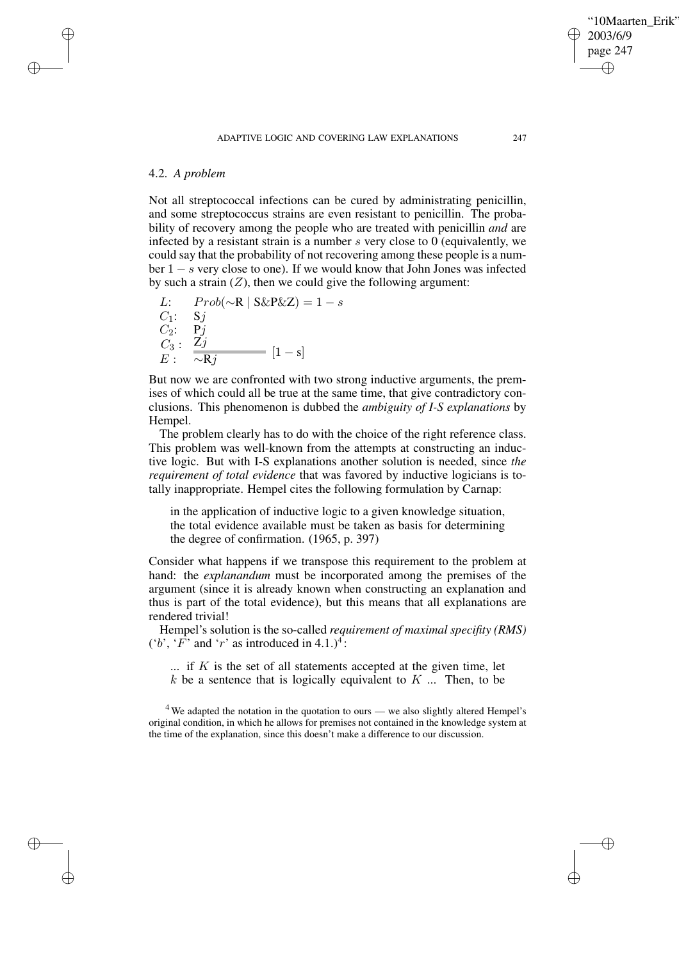# 4.2. *A problem*

✐

✐

✐

✐

Not all streptococcal infections can be cured by administrating penicillin, and some streptococcus strains are even resistant to penicillin. The probability of recovery among the people who are treated with penicillin *and* are infected by a resistant strain is a number  $s$  very close to 0 (equivalently, we could say that the probability of not recovering among these people is a number  $1 - s$  very close to one). If we would know that John Jones was infected by such a strain  $(Z)$ , then we could give the following argument:

L: 
$$
Prob(\sim \mathbb{R} | S\&P\&Z) = 1 - s
$$
  
\nC<sub>1</sub>: Sj  
\nC<sub>2</sub>: Pj  
\nC<sub>3</sub>:  $\frac{Zj}{\sim Rj}$  [1-s]

But now we are confronted with two strong inductive arguments, the premises of which could all be true at the same time, that give contradictory conclusions. This phenomenon is dubbed the *ambiguity of I-S explanations* by Hempel.

The problem clearly has to do with the choice of the right reference class. This problem was well-known from the attempts at constructing an inductive logic. But with I-S explanations another solution is needed, since *the requirement of total evidence* that was favored by inductive logicians is totally inappropriate. Hempel cites the following formulation by Carnap:

in the application of inductive logic to a given knowledge situation, the total evidence available must be taken as basis for determining the degree of confirmation. (1965, p. 397)

Consider what happens if we transpose this requirement to the problem at hand: the *explanandum* must be incorporated among the premises of the argument (since it is already known when constructing an explanation and thus is part of the total evidence), but this means that all explanations are rendered trivial!

Hempel's solution is the so-called *requirement of maximal specifity (RMS)*  $('b', 'F'$  and 'r' as introduced in 4.1.)<sup>4</sup>:

 $\ldots$  if K is the set of all statements accepted at the given time, let  $k$  be a sentence that is logically equivalent to  $K$  ... Then, to be

 $4$  We adapted the notation in the quotation to ours — we also slightly altered Hempel's original condition, in which he allows for premises not contained in the knowledge system at the time of the explanation, since this doesn't make a difference to our discussion.

'10Maarten Erik'

2003/6/9 page 247

✐

✐

✐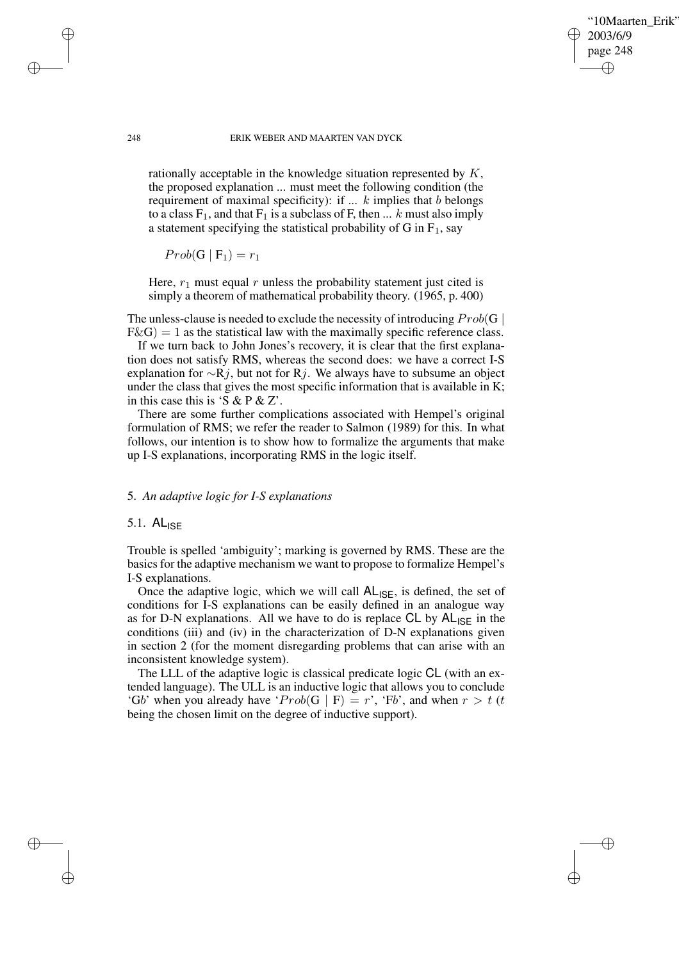## '10Maarten Erik' 2003/6/9 page 248 ✐ ✐

✐

✐

#### 248 ERIK WEBER AND MAARTEN VAN DYCK

rationally acceptable in the knowledge situation represented by K, the proposed explanation ... must meet the following condition (the requirement of maximal specificity): if  $\ldots$  k implies that b belongs to a class  $F_1$ , and that  $F_1$  is a subclass of F, then ... k must also imply a statement specifying the statistical probability of G in  $F_1$ , say

 $Prob(G | F_1) = r_1$ 

Here,  $r_1$  must equal  $r$  unless the probability statement just cited is simply a theorem of mathematical probability theory. (1965, p. 400)

The unless-clause is needed to exclude the necessity of introducing  $Prob(G |$  $F\&G$  = 1 as the statistical law with the maximally specific reference class.

If we turn back to John Jones's recovery, it is clear that the first explanation does not satisfy RMS, whereas the second does: we have a correct I-S explanation for  $\sim$ Rj, but not for Rj. We always have to subsume an object under the class that gives the most specific information that is available in K; in this case this is 'S & P & Z'.

There are some further complications associated with Hempel's original formulation of RMS; we refer the reader to Salmon (1989) for this. In what follows, our intention is to show how to formalize the arguments that make up I-S explanations, incorporating RMS in the logic itself.

# 5. *An adaptive logic for I-S explanations*

# 5.1. ALISE

Trouble is spelled 'ambiguity'; marking is governed by RMS. These are the basics for the adaptive mechanism we want to propose to formalize Hempel's I-S explanations.

Once the adaptive logic, which we will call  $AL_{ISE}$ , is defined, the set of conditions for I-S explanations can be easily defined in an analogue way as for D-N explanations. All we have to do is replace  $CL$  by  $AL_{ISE}$  in the conditions (iii) and (iv) in the characterization of D-N explanations given in section 2 (for the moment disregarding problems that can arise with an inconsistent knowledge system).

The LLL of the adaptive logic is classical predicate logic CL (with an extended language). The ULL is an inductive logic that allows you to conclude 'Gb' when you already have ' $Prob(G | F) = r$ ', 'Fb', and when  $r > t$  (t being the chosen limit on the degree of inductive support).

✐

✐

✐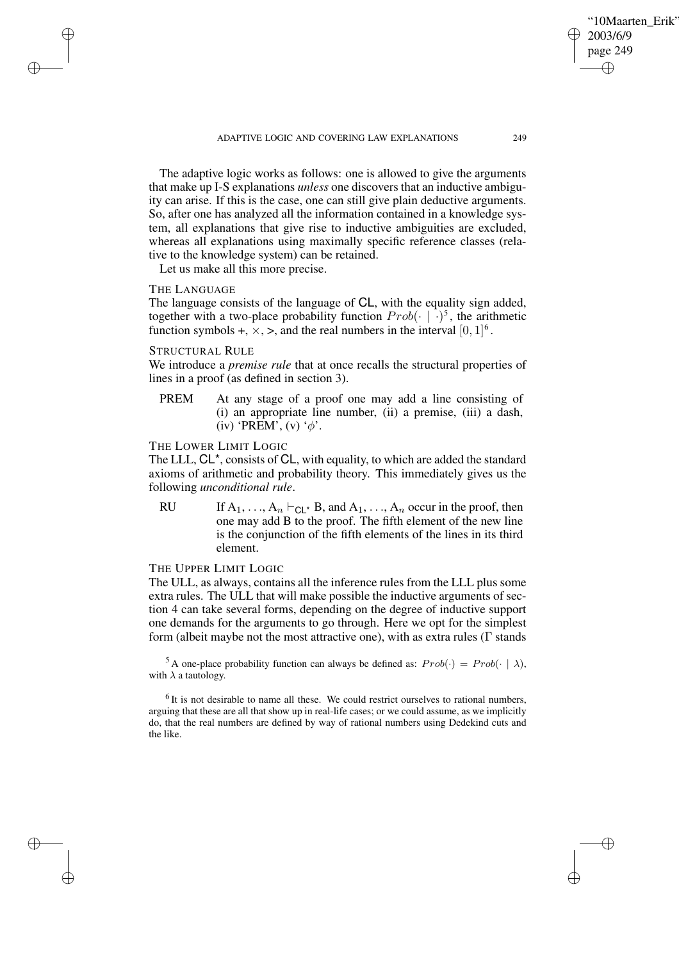ADAPTIVE LOGIC AND COVERING LAW EXPLANATIONS 249

The adaptive logic works as follows: one is allowed to give the arguments that make up I-S explanations *unless* one discovers that an inductive ambiguity can arise. If this is the case, one can still give plain deductive arguments. So, after one has analyzed all the information contained in a knowledge system, all explanations that give rise to inductive ambiguities are excluded, whereas all explanations using maximally specific reference classes (relative to the knowledge system) can be retained.

Let us make all this more precise.

# THE LANGUAGE

✐

✐

✐

✐

The language consists of the language of CL, with the equality sign added, together with a two-place probability function  $Prob(\cdot \mid \cdot)^5$ , the arithmetic function symbols +,  $\times$ ,  $>$ , and the real numbers in the interval  $[0, 1]$ <sup>6</sup>.

#### STRUCTURAL RULE

We introduce a *premise rule* that at once recalls the structural properties of lines in a proof (as defined in section 3).

PREM At any stage of a proof one may add a line consisting of (i) an appropriate line number, (ii) a premise, (iii) a dash, (iv) 'PREM', (v) ' $\phi$ '.

# THE LOWER LIMIT LOGIC

The LLL, CL\*, consists of CL, with equality, to which are added the standard axioms of arithmetic and probability theory. This immediately gives us the following *unconditional rule*.

RU If  $A_1, \ldots, A_n \vdash_{\mathsf{Cl}} B$ , and  $A_1, \ldots, A_n$  occur in the proof, then one may add B to the proof. The fifth element of the new line is the conjunction of the fifth elements of the lines in its third element.

# THE UPPER LIMIT LOGIC

The ULL, as always, contains all the inference rules from the LLL plus some extra rules. The ULL that will make possible the inductive arguments of section 4 can take several forms, depending on the degree of inductive support one demands for the arguments to go through. Here we opt for the simplest form (albeit maybe not the most attractive one), with as extra rules (Γ stands

<sup>5</sup> A one-place probability function can always be defined as:  $Prob(\cdot) = Prob(\cdot | \lambda)$ , with  $\lambda$  a tautology.

 $<sup>6</sup>$  It is not desirable to name all these. We could restrict ourselves to rational numbers,</sup> arguing that these are all that show up in real-life cases; or we could assume, as we implicitly do, that the real numbers are defined by way of rational numbers using Dedekind cuts and the like.

✐

✐

'10Maarten Erik'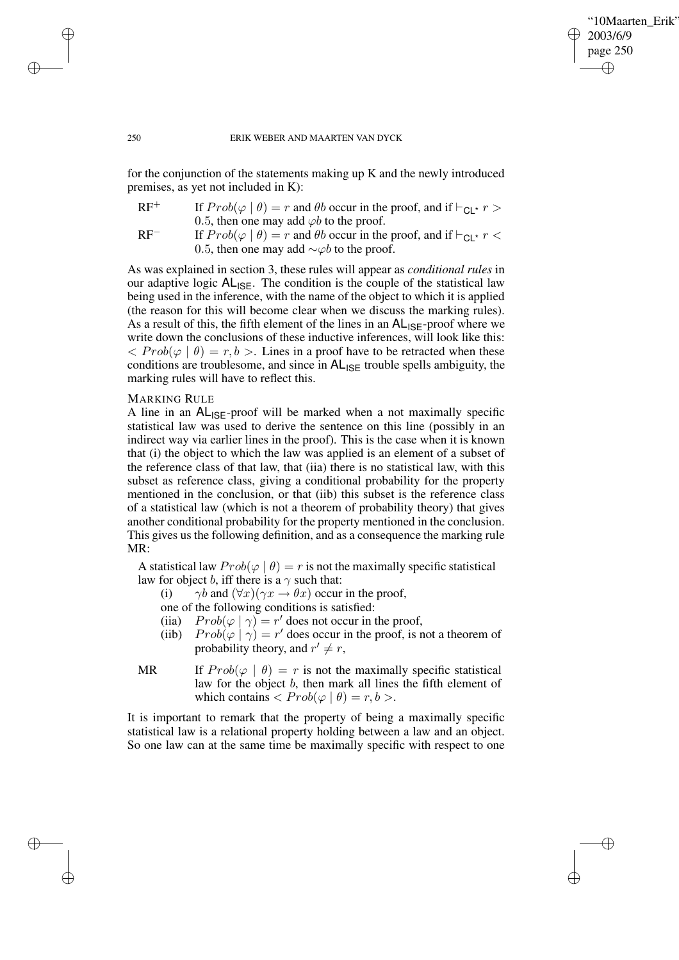✐

✐

#### 250 ERIK WEBER AND MAARTEN VAN DYCK

for the conjunction of the statements making up K and the newly introduced premises, as yet not included in K):

| $RF^+$ | If $Prob(\varphi   \theta) = r$ and $\theta b$ occur in the proof, and if $\vdash_{\text{Cl}} r$ >                                                                                                                                                                                                                                                                                                                                                                                    |  |  |  |
|--------|---------------------------------------------------------------------------------------------------------------------------------------------------------------------------------------------------------------------------------------------------------------------------------------------------------------------------------------------------------------------------------------------------------------------------------------------------------------------------------------|--|--|--|
|        | 0.5, then one may add $\varphi b$ to the proof.                                                                                                                                                                                                                                                                                                                                                                                                                                       |  |  |  |
| $P =$  | $\mathbf{r} \cdot \mathbf{r} \cdot \mathbf{r} \cdot \mathbf{r} \cdot \mathbf{r} \cdot \mathbf{r} \cdot \mathbf{r} \cdot \mathbf{r} \cdot \mathbf{r} \cdot \mathbf{r} \cdot \mathbf{r} \cdot \mathbf{r} \cdot \mathbf{r} \cdot \mathbf{r} \cdot \mathbf{r} \cdot \mathbf{r} \cdot \mathbf{r} \cdot \mathbf{r} \cdot \mathbf{r} \cdot \mathbf{r} \cdot \mathbf{r} \cdot \mathbf{r} \cdot \mathbf{r} \cdot \mathbf{r} \cdot \mathbf{r} \cdot \mathbf{r} \cdot \mathbf{r} \cdot \mathbf{$ |  |  |  |

RF<sup>−</sup> If  $Prob(\varphi | \theta) = r$  and  $\theta b$  occur in the proof, and if  $\vdash_{\text{Cl}} r$  or 0.5, then one may add  $\sim \varphi b$  to the proof.

As was explained in section 3, these rules will appear as *conditional rules* in our adaptive logic  $AL_{ISF}$ . The condition is the couple of the statistical law being used in the inference, with the name of the object to which it is applied (the reason for this will become clear when we discuss the marking rules). As a result of this, the fifth element of the lines in an  $AL_{ISE}$ -proof where we write down the conclusions of these inductive inferences, will look like this:  $\langle Prob(\varphi \mid \theta) = r, b \rangle$ . Lines in a proof have to be retracted when these conditions are troublesome, and since in  $AL_{ISE}$  trouble spells ambiguity, the marking rules will have to reflect this.

#### MARKING RULE

A line in an  $AL_{ISF}$ -proof will be marked when a not maximally specific statistical law was used to derive the sentence on this line (possibly in an indirect way via earlier lines in the proof). This is the case when it is known that (i) the object to which the law was applied is an element of a subset of the reference class of that law, that (iia) there is no statistical law, with this subset as reference class, giving a conditional probability for the property mentioned in the conclusion, or that (iib) this subset is the reference class of a statistical law (which is not a theorem of probability theory) that gives another conditional probability for the property mentioned in the conclusion. This gives us the following definition, and as a consequence the marking rule MR:

A statistical law  $Prob(\varphi | \theta) = r$  is not the maximally specific statistical law for object b, iff there is a  $\gamma$  such that:

(i)  $\gamma b$  and  $(\forall x)(\gamma x \rightarrow \theta x)$  occur in the proof,

one of the following conditions is satisfied:

- (iia)  $Prob(\varphi | \gamma) = r'$  does not occur in the proof,
- (iib)  $Prob(\varphi | \gamma) = r'$  does occur in the proof, is not a theorem of probability theory, and  $r' \neq r$ ,
- MR If  $Prob(\varphi | \theta) = r$  is not the maximally specific statistical law for the object b, then mark all lines the fifth element of which contains  $\langle Prob(\varphi | \theta) = r, b \rangle$ .

It is important to remark that the property of being a maximally specific statistical law is a relational property holding between a law and an object. So one law can at the same time be maximally specific with respect to one

✐

✐

✐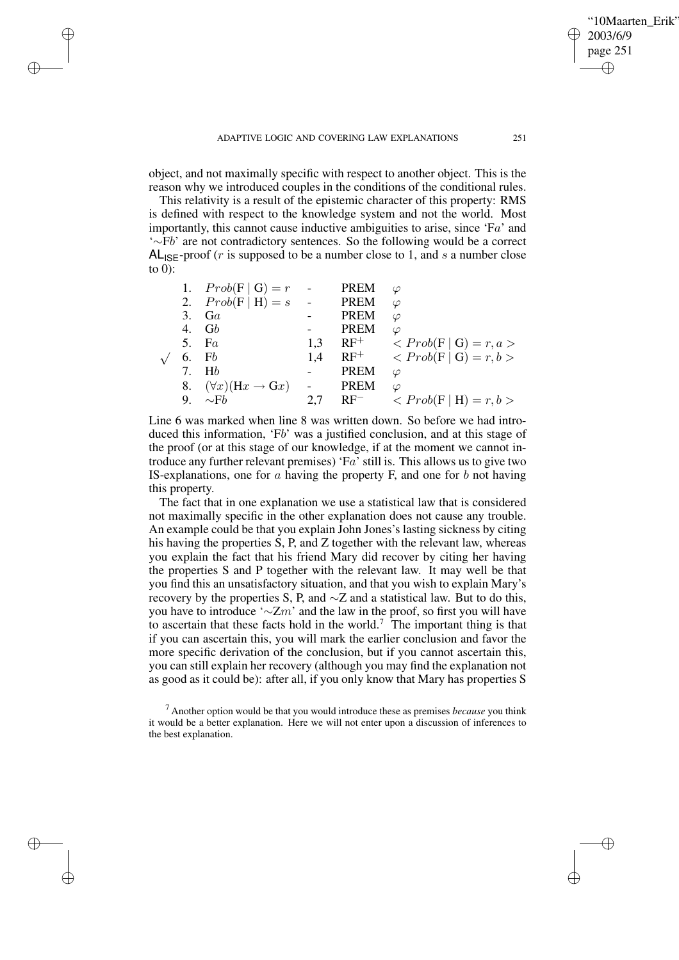✐

✐

✐

✐

✐

✐

object, and not maximally specific with respect to another object. This is the reason why we introduced couples in the conditions of the conditional rules.

This relativity is a result of the epistemic character of this property: RMS is defined with respect to the knowledge system and not the world. Most importantly, this cannot cause inductive ambiguities to arise, since 'Fa' and '∼Fb' are not contradictory sentences. So the following would be a correct  $AL<sub>ISE</sub>$ -proof (*r* is supposed to be a number close to 1, and *s* a number close to 0):

|    | 1. $Prob(F   G) = r$                           | $\sim$ $-$              | <b>PREM</b> | $\varphi$                            |
|----|------------------------------------------------|-------------------------|-------------|--------------------------------------|
|    | 2. $Prob(F   H) = s$                           | $\sim 100$ km s $^{-1}$ | PREM        | $\varphi$                            |
| 3. | Ga                                             |                         | <b>PREM</b> | $\varphi$                            |
|    | 4. $Gb$                                        |                         | <b>PREM</b> | $\varphi$                            |
|    | 5. $Fa$                                        | 1,3                     | $RF^+$      | $\langle Prob(F   G) = r, a \rangle$ |
| 6. | Fb                                             | 1.4                     | $RF^+$      | $\langle Prob(F   G) = r, b \rangle$ |
|    | 7. H <sub>b</sub>                              |                         | <b>PREM</b> | $\varphi$                            |
| 8. | $(\forall x)(\text{H}x \rightarrow \text{G}x)$ |                         | <b>PREM</b> | $\varphi$                            |
| 9. | $\sim$ Fb                                      | 2,7                     | $RF^-$      | $\langle Prob(F   H) = r, b \rangle$ |
|    |                                                |                         |             |                                      |

Line 6 was marked when line 8 was written down. So before we had introduced this information, 'Fb' was a justified conclusion, and at this stage of the proof (or at this stage of our knowledge, if at the moment we cannot introduce any further relevant premises) ' $Fa$ ' still is. This allows us to give two IS-explanations, one for  $\alpha$  having the property F, and one for  $\beta$  not having this property.

The fact that in one explanation we use a statistical law that is considered not maximally specific in the other explanation does not cause any trouble. An example could be that you explain John Jones's lasting sickness by citing his having the properties S, P, and Z together with the relevant law, whereas you explain the fact that his friend Mary did recover by citing her having the properties S and P together with the relevant law. It may well be that you find this an unsatisfactory situation, and that you wish to explain Mary's recovery by the properties S, P, and  $\sim$ Z and a statistical law. But to do this, you have to introduce ' $\sim$ Zm' and the law in the proof, so first you will have to ascertain that these facts hold in the world.<sup>7</sup> The important thing is that if you can ascertain this, you will mark the earlier conclusion and favor the more specific derivation of the conclusion, but if you cannot ascertain this, you can still explain her recovery (although you may find the explanation not as good as it could be): after all, if you only know that Mary has properties S

<sup>7</sup> Another option would be that you would introduce these as premises *because* you think it would be a better explanation. Here we will not enter upon a discussion of inferences to the best explanation.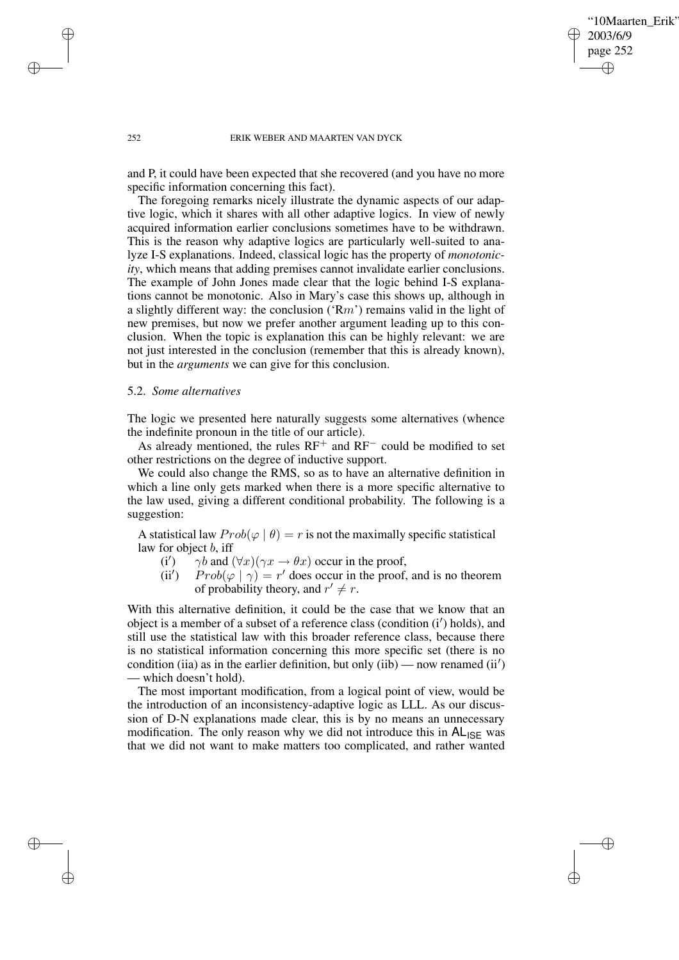## '10Maarten Erik' 2003/6/9 page 252 ✐ ✐

✐

✐

#### 252 ERIK WEBER AND MAARTEN VAN DYCK

and P, it could have been expected that she recovered (and you have no more specific information concerning this fact).

The foregoing remarks nicely illustrate the dynamic aspects of our adaptive logic, which it shares with all other adaptive logics. In view of newly acquired information earlier conclusions sometimes have to be withdrawn. This is the reason why adaptive logics are particularly well-suited to analyze I-S explanations. Indeed, classical logic has the property of *monotonicity*, which means that adding premises cannot invalidate earlier conclusions. The example of John Jones made clear that the logic behind I-S explanations cannot be monotonic. Also in Mary's case this shows up, although in a slightly different way: the conclusion  $({\rm Rm}^{\prime})$  remains valid in the light of new premises, but now we prefer another argument leading up to this conclusion. When the topic is explanation this can be highly relevant: we are not just interested in the conclusion (remember that this is already known), but in the *arguments* we can give for this conclusion.

# 5.2. *Some alternatives*

The logic we presented here naturally suggests some alternatives (whence the indefinite pronoun in the title of our article).

As already mentioned, the rules RF<sup>+</sup> and RF<sup>−</sup> could be modified to set other restrictions on the degree of inductive support.

We could also change the RMS, so as to have an alternative definition in which a line only gets marked when there is a more specific alternative to the law used, giving a different conditional probability. The following is a suggestion:

A statistical law  $Prob(\varphi | \theta) = r$  is not the maximally specific statistical law for object b, iff

- $(i')$  $\gamma b$  and  $(\forall x)(\gamma x \rightarrow \theta x)$  occur in the proof,
- $(ii')$  $Prob(\varphi | \gamma) = r'$  does occur in the proof, and is no theorem of probability theory, and  $r' \neq r$ .

With this alternative definition, it could be the case that we know that an object is a member of a subset of a reference class (condition (i') holds), and still use the statistical law with this broader reference class, because there is no statistical information concerning this more specific set (there is no condition (iia) as in the earlier definition, but only (iib) — now renamed (ii') — which doesn't hold).

The most important modification, from a logical point of view, would be the introduction of an inconsistency-adaptive logic as LLL. As our discussion of D-N explanations made clear, this is by no means an unnecessary modification. The only reason why we did not introduce this in  $AL_{ISF}$  was that we did not want to make matters too complicated, and rather wanted

✐

✐

✐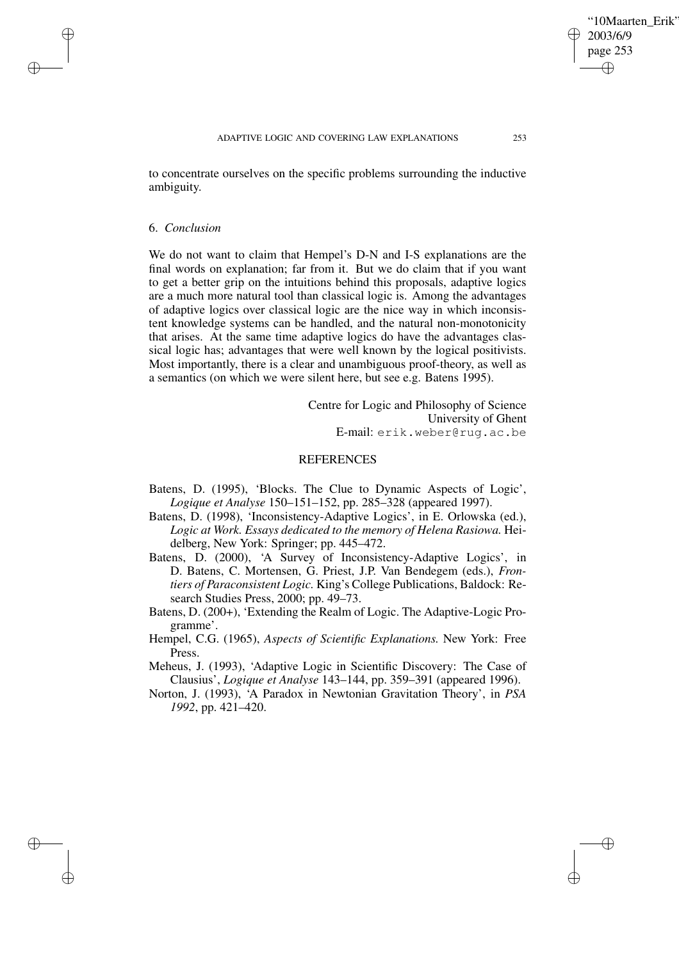to concentrate ourselves on the specific problems surrounding the inductive ambiguity.

#### 6. *Conclusion*

✐

✐

✐

✐

We do not want to claim that Hempel's D-N and I-S explanations are the final words on explanation; far from it. But we do claim that if you want to get a better grip on the intuitions behind this proposals, adaptive logics are a much more natural tool than classical logic is. Among the advantages of adaptive logics over classical logic are the nice way in which inconsistent knowledge systems can be handled, and the natural non-monotonicity that arises. At the same time adaptive logics do have the advantages classical logic has; advantages that were well known by the logical positivists. Most importantly, there is a clear and unambiguous proof-theory, as well as a semantics (on which we were silent here, but see e.g. Batens 1995).

> Centre for Logic and Philosophy of Science University of Ghent E-mail: erik.weber@rug.ac.be

# **REFERENCES**

- Batens, D. (1995), 'Blocks. The Clue to Dynamic Aspects of Logic', *Logique et Analyse* 150–151–152, pp. 285–328 (appeared 1997).
- Batens, D. (1998), 'Inconsistency-Adaptive Logics', in E. Orlowska (ed.), *Logic at Work. Essays dedicated to the memory of Helena Rasiowa.* Heidelberg, New York: Springer; pp. 445–472.
- Batens, D. (2000), 'A Survey of Inconsistency-Adaptive Logics', in D. Batens, C. Mortensen, G. Priest, J.P. Van Bendegem (eds.), *Frontiers of Paraconsistent Logic.* King's College Publications, Baldock: Research Studies Press, 2000; pp. 49–73.
- Batens, D. (200+), 'Extending the Realm of Logic. The Adaptive-Logic Programme'.
- Hempel, C.G. (1965), *Aspects of Scientific Explanations.* New York: Free Press.
- Meheus, J. (1993), 'Adaptive Logic in Scientific Discovery: The Case of Clausius', *Logique et Analyse* 143–144, pp. 359–391 (appeared 1996).
- Norton, J. (1993), 'A Paradox in Newtonian Gravitation Theory', in *PSA 1992*, pp. 421–420.

'10Maarten Erik'

2003/6/9 page 253

✐

✐

✐